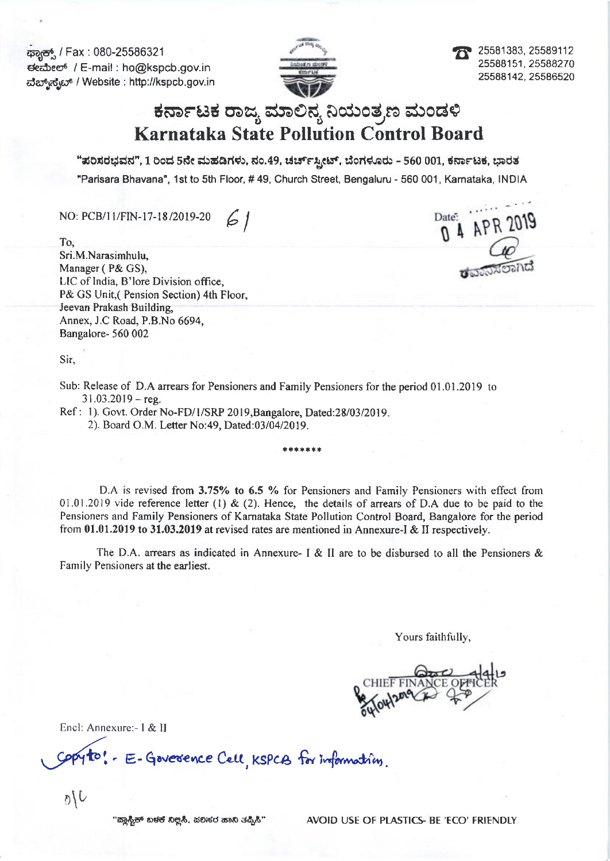FSa:,) / Fax : 080-25586321 dedeer6 /E-mail : ho@kspcb.gov.in ಮೆಬ್ಬ್ರಸ್ಟೆಬ್ / Website : http://kspcb.gov.in



tl zssar3sa,2558e112 25588151 . 25588270 25588142,25586520

## ಕರ್ನಾಟಕ ರಾಜ್ಯ ಮಾಲಿನ್ಯ ನಿಯಂತ್ರಣ ಮಂಡಳಿ Karnataka State Pollution Control Board

"ಪರಿಸರಭವನ", 1 ರಿಂದ 5ನೇ ಮಹಡಿಗಳು, ನಂ.49, ಚರ್ಚ್ಸ್ಟೀಟ್, ಬೆಂಗಳೂರು - 560 001, ಕರ್ನಾಟಕ, ಭಾರತ 'Parisara Bhavana', 1st to 5th Floor, # 49, Church Street, Bengaluru - 560 001, Kamataka, INDIA

## NO: PCB/11/FIN-17-18/2019-20  $6/$

To, Sri.M.Narasimhulu, Manager ( P& GS), LIC of India. B'lore Division oftice, P& GS Unit,( Pension Section) 4th Floor, Jeevan Prakash Building, Annex, J.C Road, P.B.No 6694, Bangalore- 560 002

Date: 4 APR 2019

Sir,

Sub: Release of D.A arrears for Pensioners and Family Pensioners for the period 0l .01.2019 to  $31.03.2019 - \text{reg.}$ 

Ref : 1). Govt. Order No-FD/1/SRP 2019, Bangalore, Dated:28/03/2019. 2). Board O.M. Letter No:49, Dated:03/04/2019.

D.A is revised from 3.75% to 6.5 % for Pensioners and Family Pensioners with effect from 01.01.2019 vide reference letter  $(1)$  &  $(2)$ . Hence, the details of arrears of D.A due to be paid to the Pensioners and Family Pensioners of Kamataka State Pollution Control Board, Bangalore for the period from 01.01.2019 to 31.03.2019 at revised rates are mentioned in Annexure-I & II respectively.

ti\*+\*\*'r

The D.A. arrears as indicated in Annexure- I & II are to be disbursed to all the Pensioners & Family Pensioners at the earliest.

Yours faithfully,

Encl: Annexure:-l&ll

Copyto! - E- Goverence Cell, KSPCB for informatrien.

 $\delta$ <sub>0</sub>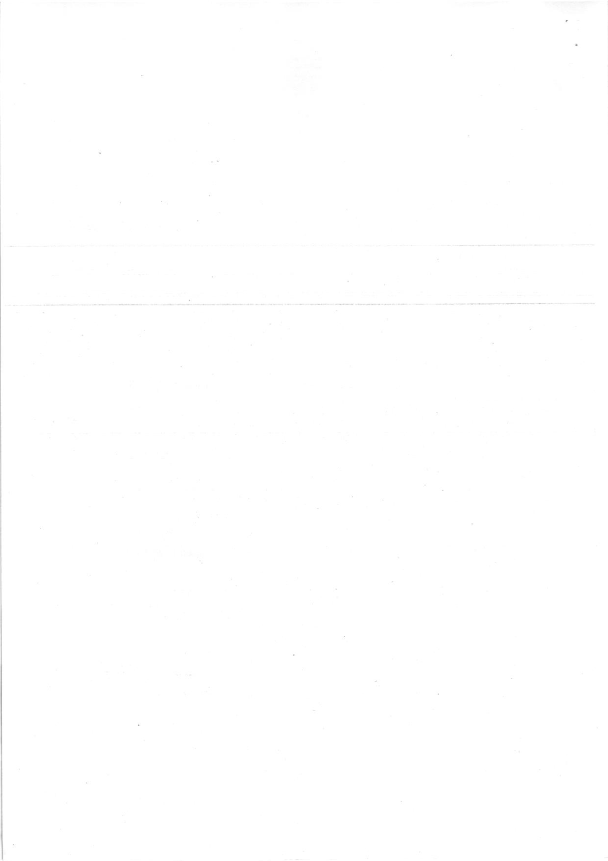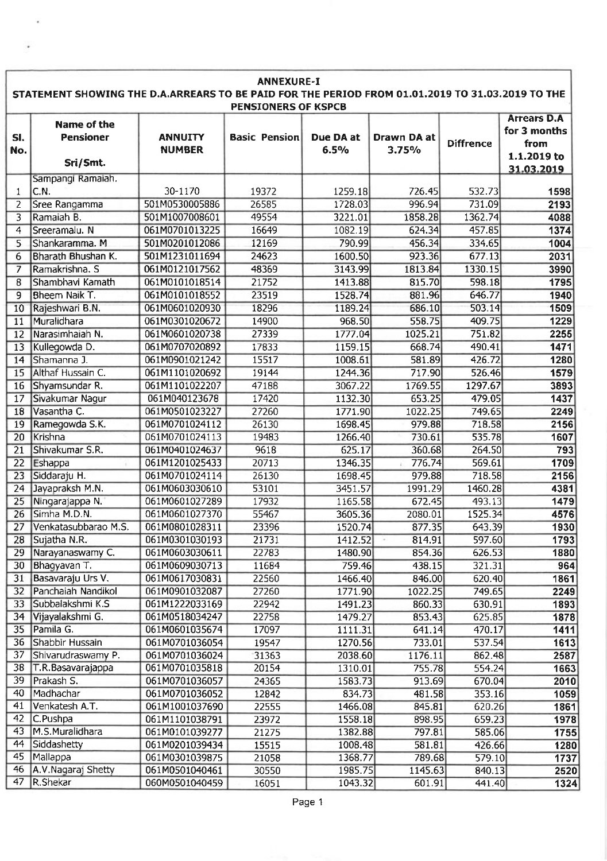| <b>ANNEXURE-I</b><br>STATEMENT SHOWING THE D.A.ARREARS TO BE PAID FOR THE PERIOD FROM 01.01.2019 TO 31.03.2019 TO THE<br><b>PENSIONERS OF KSPCB</b> |                                                    |                                 |                      |                   |                      |                  |                                                                         |  |
|-----------------------------------------------------------------------------------------------------------------------------------------------------|----------------------------------------------------|---------------------------------|----------------------|-------------------|----------------------|------------------|-------------------------------------------------------------------------|--|
| SI.<br>No.                                                                                                                                          | <b>Name of the</b><br><b>Pensioner</b><br>Sri/Smt. | <b>ANNUITY</b><br><b>NUMBER</b> | <b>Basic Pension</b> | Due DA at<br>6.5% | Drawn DA at<br>3.75% | <b>Diffrence</b> | <b>Arrears D.A</b><br>for 3 months<br>from<br>1.1.2019 to<br>31.03.2019 |  |
|                                                                                                                                                     | Sampangi Ramaiah.                                  |                                 |                      |                   |                      |                  |                                                                         |  |
| 1                                                                                                                                                   | C.N.                                               | 30-1170                         | 19372                | 1259.18           | 726.45               | 532.73           | 1598                                                                    |  |
| 2                                                                                                                                                   | Sree Rangamma                                      | 501M0530005886                  | 26585                | 1728.03           | 996.94               | 731.09           | 2193                                                                    |  |
| 3                                                                                                                                                   | Ramaiah B.                                         | 501M1007008601                  | 49554                | 3221.01           | 1858.28              | 1362.74          | 4088                                                                    |  |
| 4                                                                                                                                                   | Sreeramalu. N                                      | 061M0701013225                  | 16649                | 1082.19           | 624.34               | 457.85           | 1374                                                                    |  |
| 5                                                                                                                                                   | Shankaramma. M                                     | 501M0201012086                  | 12169                | 790.99            | 456.34               | 334.65           | 1004                                                                    |  |
| 6                                                                                                                                                   | Bharath Bhushan K.                                 | 501M1231011694                  | 24623                | 1600.50           | 923.36               | 677.13           | 2031                                                                    |  |
| 7                                                                                                                                                   | Ramakrishna. S                                     | 061M0121017562                  | 48369                | 3143.99           | 1813.84              | 1330.15          | 3990                                                                    |  |
| 8                                                                                                                                                   | Shambhavi Kamath                                   | 061M0101018514                  | 21752                | 1413.88           | 815.70               | 598.18           | 1795                                                                    |  |
| 9                                                                                                                                                   | Bheem Naik T.                                      | 061M0101018552                  | 23519                | 1528.74           | 881.96               | 646.77           | 1940                                                                    |  |
| 10                                                                                                                                                  | Rajeshwari B.N.                                    | 061M0601020930                  | 18296                | 1189.24           | 686.10               | 503.14           | 1509                                                                    |  |
| 11                                                                                                                                                  | Muralidhara                                        | 061M0301020672                  | 14900                | 968.50            | 558.75               | 409.75           | 1229                                                                    |  |
| 12                                                                                                                                                  | Narasimhaiah N.                                    | 061M0601020738                  | 27339                | 1777.04           | 1025.21              | 751.82           | 2255                                                                    |  |
| 13                                                                                                                                                  | Kullegowda D.                                      | 061M0707020892                  | 17833                | 1159.15           | 668.74               | 490.41           | 1471                                                                    |  |
| 14                                                                                                                                                  | Shamanna J.                                        | 061M0901021242                  | 15517                | 1008.61           | 581.89               | 426.72           | 1280                                                                    |  |
| 15                                                                                                                                                  | Althaf Hussain C.                                  | 061M1101020692                  | 19144                | 1244.36           | 717.90               | 526.46           | 1579                                                                    |  |
| 16                                                                                                                                                  | Shyamsundar R.                                     | 061M1101022207                  | 47188                | 3067.22           | 1769.55              | 1297.67          | 3893                                                                    |  |
| 17                                                                                                                                                  | Sivakumar Nagur                                    | 061M040123678                   | 17420                | 1132.30           | 653.25               | 479.05           | 1437                                                                    |  |
| 18                                                                                                                                                  | Vasantha C.                                        | 061M0501023227                  | 27260                | 1771.90           | 1022.25              | 749.65           | 2249                                                                    |  |
| 19                                                                                                                                                  | Ramegowda S.K.                                     | 061M0701024112                  | 26130                | 1698.45           | 979.88               | 718.58           | 2156                                                                    |  |
| 20                                                                                                                                                  | Krishna                                            | 061M0701024113                  | 19483                | 1266.40           | 730.61               | 535.78           | 1607                                                                    |  |
| $\overline{21}$                                                                                                                                     | Shivakumar S.R.                                    | 061M0401024637                  | 9618                 | 625.17            | 360.68               | 264.50           | 793                                                                     |  |
| $\overline{22}$                                                                                                                                     | Eshappa                                            | 061M1201025433                  | 20713                | 1346.35           | 776.74               | 569.61           | 1709                                                                    |  |
| $\overline{23}$                                                                                                                                     | Siddaraju H.                                       | 061M0701024114                  | 26130                | 1698.45           | 979.88               | 718.58           | 2156                                                                    |  |
| 24                                                                                                                                                  | Jayapraksh M.N.                                    | 061M0603030610                  | 53101                | 3451.57           | 1991.29              | 1460.28          | 4381                                                                    |  |
| 25                                                                                                                                                  | Ningarajappa N.                                    | 061M0601027289                  | 17932                | 1165.58           | 672.45               | 493.13           | 1479                                                                    |  |
| 26                                                                                                                                                  | Simha M.D.N.                                       | 061M0601027370                  | 55467                | 3605.36           | 2080.01              | 1525.34          | 4576                                                                    |  |
| 27                                                                                                                                                  | Venkatasubbarao M.S.                               | 061M0801028311                  | 23396                | 1520.74           | 877.35               | 643.39           | $\boxed{1930}$                                                          |  |
| 28                                                                                                                                                  | Sujatha N.R.                                       | 061M0301030193                  | 21731                | 1412.52           | 814.91               | 597.60           | 1793                                                                    |  |
| 29                                                                                                                                                  | Narayanaswamy C.                                   | 061M0603030611                  | 22783                | 1480.90           | 854.36               | 626.53           | 1880                                                                    |  |
| 30                                                                                                                                                  | Bhagyavan T.                                       | 061M0609030713                  | 11684                | 759.46            | 438.15               | 321.31           | 964                                                                     |  |
| 31                                                                                                                                                  | Basavaraju Urs V.                                  | 061M0617030831                  | 22560                | 1466.40           | 846.00               | 620.40           | 1861                                                                    |  |
| 32                                                                                                                                                  | Panchaiah Nandikol                                 | 061M0901032087                  | 27260                | 1771.90           | 1022.25              | 749.65           | 2249                                                                    |  |
| 33                                                                                                                                                  | Subbalakshmi K.S                                   | 061M1222033169                  | 22942                | 1491.23           | 860.33               | 630.91           | 1893                                                                    |  |
| 34                                                                                                                                                  | Vijayalakshmi G.                                   | 061M0518034247                  | 22758                | 1479.27           | 853.43               | 625.85           | 1878                                                                    |  |
| 35                                                                                                                                                  | Pamila G.                                          | 061M0601035674                  | 17097                | 1111.31           | 641.14               | 470.17           | 1411                                                                    |  |
| 36                                                                                                                                                  | Shabbir Hussain                                    | 061M0701036054                  | 19547                | 1270.56           | 733.01               | 537.54           | 1613                                                                    |  |
| 37                                                                                                                                                  | Shivarudraswamy P.                                 | 061M0701036024                  |                      | 2038.60           |                      |                  |                                                                         |  |
| 38                                                                                                                                                  | T.R.Basavarajappa                                  | 061M0701035818                  | 31363<br>20154       |                   | 1176.11<br>755.78    | 862.48<br>554.24 | 2587                                                                    |  |
|                                                                                                                                                     |                                                    |                                 |                      | 1310.01           |                      |                  | 1663                                                                    |  |
| 39<br>40                                                                                                                                            | Prakash S.                                         | 061M0701036057                  | 24365                | 1583.73           | 913.69               | 670.04           | 2010                                                                    |  |
| 41                                                                                                                                                  | Madhachar                                          | 061M0701036052                  | 12842                | 834.73            | 481.58               | 353.16           | 1059                                                                    |  |
|                                                                                                                                                     | Venkatesh A.T.                                     | 061M1001037690                  | 22555                | 1466.08           | 845.81               | 620.26           | 1861                                                                    |  |
| 42                                                                                                                                                  | C.Pushpa                                           | 061M1101038791                  | 23972                | 1558.18           | 898.95               | 659.23           | 1978                                                                    |  |
| 43                                                                                                                                                  | M.S.Muralidhara                                    | 061M0101039277                  | 21275                | 1382.88           | 797.81               | 585.06           | 1755                                                                    |  |
| 44                                                                                                                                                  | Siddashetty                                        | 061M0201039434                  | 15515                | 1008.48           | 581.81               | 426.66           | 1280                                                                    |  |
| 45                                                                                                                                                  | Mallappa                                           | 061M0301039875                  | 21058                | 1368.77           | 789.68               | 579.10           | 1737                                                                    |  |
| 46                                                                                                                                                  | A.V.Nagaraj Shetty                                 | 061M0501040461                  | 30550                | 1985.75           | 1145.63              | 840.13           | 2520                                                                    |  |
| 47                                                                                                                                                  | R.Shekar                                           | 060M0501040459                  | 16051                | 1043.32           | 601.91               | 441.40           | 1324                                                                    |  |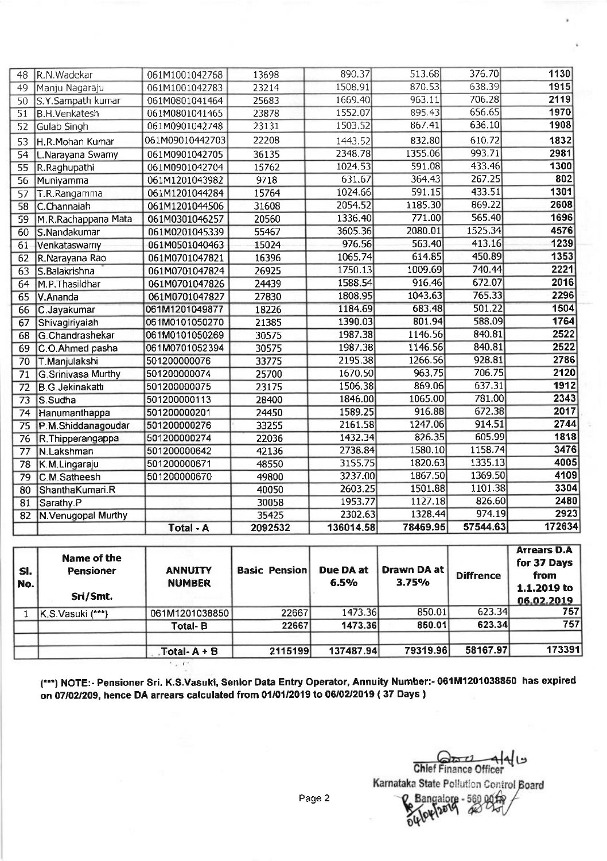|                 |                           | <b>Total - A</b> | 2092532 | 136014.58 | 78469.95 | 57544.63 | 172634 |
|-----------------|---------------------------|------------------|---------|-----------|----------|----------|--------|
| 82              | N.Venugopal Murthy        |                  | 35425   | 2302.63   | 1328.44  | 974.19   | 2923   |
| 81              | Sarathy.P                 |                  | 30058   | 1953.77   | 1127.18  | 826.60   | 2480   |
| 80              | ShanthaKumari.R           |                  | 40050   | 2603.25   | 1501.88  | 1101.38  | 3304   |
| 79              | C.M.Satheesh              | 501200000670     | 49800   | 3237.00   | 1867.50  | 1369.50  | 4109   |
| 78              | K.M.Lingaraju             | 501200000671     | 48550   | 3155.75   | 1820.63  | 1335.13  | 4005   |
| $\overline{77}$ | N.Lakshman                | 501200000642     | 42136   | 2738.84   | 1580.10  | 1158.74  | 3476   |
| $\overline{76}$ | R. Thipperangappa         | 501200000274     | 22036   | 1432.34   | 826.35   | 605.99   | 1818   |
| $\overline{75}$ | P.M.Shiddanagoudar        | 501200000276     | 33255   | 2161.58   | 1247.06  | 914.51   | 2744   |
| 74              | Hanumanthappa             | 501200000201     | 24450   | 1589.25   | 916.88   | 672.38   | 2017   |
| $\overline{73}$ | S.Sudha                   | 501200000113     | 28400   | 1846.00   | 1065.00  | 781.00   | 2343   |
| 72              | <b>B.G.Jekinakatti</b>    | 501200000075     | 23175   | 1506.38   | 869.06   | 637.31   | 1912   |
| 71              | <b>G.Srinivasa Murthy</b> | 501200000074     | 25700   | 1670.50   | 963.75   | 706.75   | 2120   |
| 70              | T.Manjulakshi             | 501200000076     | 33775   | 2195.38   | 1266.56  | 928.81   | 2786   |
| 69              | C.O.Ahmed pasha           | 061M0701052394   | 30575   | 1987.38   | 1146.56  | 840.81   | 2522   |
| 68              | G.Chandrashekar           | 061M0101050269   | 30575   | 1987.38   | 1146.56  | 840.81   | 2522   |
| 67              | Shivagiriyaiah            | 061M0101050270   | 21385   | 1390.03   | 801.94   | 588.09   | 1764   |
| 66              | C.Jayakumar               | 061M1201049877   | 18226   | 1184.69   | 683.48   | 501.22   | 1504   |
| 65              | V.Ananda                  | 061M0701047827   | 27830   | 1808.95   | 1043.63  | 765.33   | 2296   |
| 64              | M.P. Thasildhar           | 061M0701047826   | 24439   | 1588.54   | 916.46   | 672.07   | 2016   |
| 63              | S.Balakrishna             | 061M0701047824   | 26925   | 1750.13   | 1009.69  | 740.44   | 2221   |
| 62              | R.Narayana Rao            | 061M0701047821   | 16396   | 1065.74   | 614.85   | 450.89   | 1353   |
| 61              | Venkataswamy              | 061M0501040463   | 15024   | 976.56    | 563.40   | 413.16   | 1239   |
| 60              | S.Nandakumar              | 061M0201045339   | 55467   | 3605.36   | 2080.01  | 1525.34  | 4576   |
| 59              | M.R.Rachappana Mata       | 061M0301046257   | 20560   | 1336.40   | 771.00   | 565.40   | 1696   |
| $\overline{58}$ | C.Channaiah               | 061M1201044506   | 31608   | 2054.52   | 1185.30  | 869.22   | 2608   |
| 57              | T.R.Rangamma              | 061M1201044284   | 15764   | 1024.66   | 591.15   | 433.51   | 1301   |
| 56              | Muniyamma                 | 061M1201043982   | 9718    | 631.67    | 364.43   | 267.25   | 802    |
| 55              | R.Raghupathi              | 061M0901042704   | 15762   | 1024.53   | 591.08   | 433.46   | 1300   |
| 54              | L.Narayana Swamy          | 061M0901042705   | 36135   | 2348.78   | 1355.06  | 993.71   | 2981   |
| 53              | H.R.Mohan Kumar           | 061M09010442703  | 22208   | 1443.52   | 832.80   | 610.72   | 1832   |
| 52              | Gulab Singh               | 061M0901042748   | 23131   | 1503.52   | 867.41   | 636.10   | 1908   |
| 51              | <b>B.H.Venkatesh</b>      | 061M0801041465   | 23878   | 1552.07   | 895.43   | 656.65   | 1970   |
| 50              | S.Y.Sampath kumar         | 061M0801041464   | 25683   | 1669.40   | 963.11   | 706.28   | 2119   |
| 49              | Manju Nagaraju            | 061M1001042783   | 23214   | 1508.91   | 870.53   | 638.39   | 1915   |
| 48              | R.N.Wadekar               | 061M1001042768   | 13698   | 890.37    | 513.68   | 376.70   | 1130   |

| SI.<br>No. | Name of the<br>Pensioner<br>Sri/Smt. | <b>ANNUITY</b><br><b>NUMBER</b> | <b>Basic Pension</b> | <b>Due DA at</b><br>6.5% | Drawn DA at<br>3.75% | <b>Diffrence</b> | <b>Arrears D.A</b><br>for 37 Days<br>from<br>1.1.2019 to<br>06.02.2019 |
|------------|--------------------------------------|---------------------------------|----------------------|--------------------------|----------------------|------------------|------------------------------------------------------------------------|
|            | K.S.Vasuki (***)                     | 061M1201038850                  | 22667                | 1473.36                  | 850.01               | 623.34           | 757                                                                    |
|            |                                      | <b>Total-B</b>                  | 22667                | 1473.36                  | 850.01               | 623.34           | 757                                                                    |
|            |                                      | $Total - A + B$                 | 2115199              | 137487.94                | 79319.96             | 58167.97         | 173391                                                                 |
|            |                                      |                                 |                      |                          |                      |                  |                                                                        |

(...) NOTE:- Pensioner Sri. K.S.Vasuki, Senior Data Entry Operator, Annuity Number:- 061M1201038850 has expired on 07/02/209, hence DA arrears calculated from 01/01/2019 to 06/02/2019 ( 37 Days )

> $Q_{\text{inter}}$ Karnataka State Pollution Control Board aka State Pollution Contra<br>Relations - 560 00 fm<br>04040<sup>504</sup>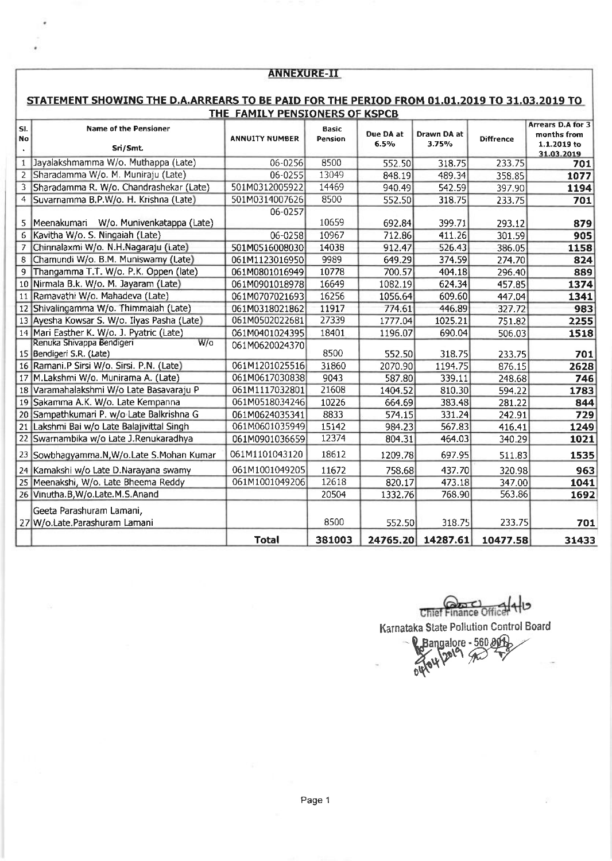| ANNEXUKE-II                                                                                  |                                                              |                       |                         |                   |                      |                  |                                                               |  |  |
|----------------------------------------------------------------------------------------------|--------------------------------------------------------------|-----------------------|-------------------------|-------------------|----------------------|------------------|---------------------------------------------------------------|--|--|
| STATEMENT SHOWING THE D.A.ARREARS TO BE PAID FOR THE PERIOD FROM 01.01.2019 TO 31.03.2019 TO |                                                              |                       |                         |                   |                      |                  |                                                               |  |  |
|                                                                                              | THE FAMILY PENSIONERS OF KSPCB                               |                       |                         |                   |                      |                  |                                                               |  |  |
| SI.<br>No                                                                                    | <b>Name of the Pensioner</b><br>Sri/Smt.                     | <b>ANNUITY NUMBER</b> | <b>Basic</b><br>Pension | Due DA at<br>6.5% | Drawn DA at<br>3.75% | <b>Diffrence</b> | Arrears D.A for 3<br>months from<br>1.1.2019 to<br>31.03.2019 |  |  |
| $1\,$                                                                                        | Jayalakshmamma W/o. Muthappa (Late)                          | 06-0256               | 8500                    | 552.50            | 318.75               | 233.75           | 701                                                           |  |  |
| 2                                                                                            | Sharadamma W/o. M. Muniraju (Late)                           | 06-0255               | 13049                   | 848.19            | 489.34               | 358.85           | 1077                                                          |  |  |
| 3                                                                                            | Sharadamma R. W/o. Chandrashekar (Late)                      | 501M0312005922        | 14469                   | 940.49            | 542.59               | 397.90           | 1194                                                          |  |  |
| $\overline{4}$                                                                               | Suvarnamma B.P.W/o. H. Krishna (Late)                        | 501M0314007626        | 8500                    | 552.50            | 318.75               | 233.75           | 701                                                           |  |  |
|                                                                                              | W/o. Munivenkatappa (Late)<br>5 Meenakumari                  | 06-0257               | 10659                   | 692.84            | 399.71               | 293.12           | 879                                                           |  |  |
|                                                                                              | 6 Kavitha W/o. S. Ningaiah (Late)                            | 06-0258               | 10967                   | 712.86            | 411.26               | 301.59           | 905                                                           |  |  |
| $\overline{7}$                                                                               | Chinnalaxmi W/o. N.H.Nagaraju (Late)                         | 501M0516008030        | 14038                   | 912.47            | 526.43               | 386.05           | 1158                                                          |  |  |
| 8                                                                                            | Chamundi W/o. B.M. Muniswamy (Late)                          | 061M1123016950        | 9989                    | 649.29            | 374.59               | 274.70           | 824                                                           |  |  |
| 9                                                                                            | Thangamma T.T. W/o. P.K. Oppen (late)                        | 061M0801016949        | 10778                   | 700.57            | 404.18               | 296.40           | 889                                                           |  |  |
|                                                                                              | 10 Nirmala B.k. W/o. M. Jayaram (Late)                       | 061M0901018978        | 16649                   | 1082.19           | 624.34               | 457.85           | 1374                                                          |  |  |
|                                                                                              | 11 Ramavathi W/o. Mahadeva (Late)                            | 061M0707021693        | 16256                   | 1056.64           | 609.60               | 447.04           | 1341                                                          |  |  |
|                                                                                              | 12 Shivalingamma W/o. Thimmaiah (Late)                       | 061M0318021862        | 11917                   | 774.61            | 446.89               | 327.72           | 983                                                           |  |  |
|                                                                                              | 13 Ayesha Kowsar S. W/o. Ilyas Pasha (Late)                  | 061M0502022681        | 27339                   | 1777.04           | 1025.21              | 751.82           | 2255                                                          |  |  |
|                                                                                              | 14 Mari Easther K. W/o. J. Pyatric (Late)                    | 061M0401024395        | 18401                   | 1196.07           | 690.04               | 506.03           | 1518                                                          |  |  |
|                                                                                              | Renuka Shivappa Bendigeri<br>W/o<br>15 Bendigeri S.R. (Late) | 061M0620024370        | 8500                    | 552.50            | 318.75               | 233.75           | 701                                                           |  |  |
|                                                                                              | 16 Ramani.P Sirsi W/o. Sirsi. P.N. (Late)                    | 061M1201025516        | 31860                   | 2070.90           | 1194.75              | 876.15           | 2628                                                          |  |  |
|                                                                                              | 17 M.Lakshmi W/o. Munirama A. (Late)                         | 061M0617030838        | 9043                    | 587.80            | 339.11               | 248.68           | 746                                                           |  |  |
|                                                                                              | 18 Varamahalakshmi W/o Late Basavaraju P                     | 061M1117032801        | 21608                   | 1404.52           | 810.30               | 594.22           | 1783                                                          |  |  |
|                                                                                              | 19 Sakamma A.K. W/o. Late Kempanna                           | 061M0518034246        | 10226                   | 664.69            | 383.48               | 281.22           | 844                                                           |  |  |
|                                                                                              | 20 Sampathkumari P. w/o Late Balkrishna G                    | 061M0624035341        | 8833                    | 574.15            | 331.24               | 242.91           | 729                                                           |  |  |
|                                                                                              | 21 Lakshmi Bai w/o Late Balajivittal Singh                   | 061M0601035949        | 15142                   | 984.23            | 567.83               | 416.41           | 1249                                                          |  |  |
|                                                                                              | 22 Swarnambika w/o Late J.Renukaradhya                       | 061M0901036659        | 12374                   | 804.31            | 464.03               | 340.29           | 1021                                                          |  |  |
|                                                                                              | 23 Sowbhagyamma.N,W/o.Late S.Mohan Kumar                     | 061M1101043120        | 18612                   | 1209.78           | 697.95               | 511.83           | 1535                                                          |  |  |
|                                                                                              | 24 Kamakshi w/o Late D.Narayana swamy                        | 061M1001049205        | 11672                   | 758.68            | 437.70               | 320.98           | 963                                                           |  |  |
|                                                                                              | 25 Meenakshi, W/o. Late Bheema Reddy                         | 061M1001049206        | 12618                   | 820.17            | 473.18               | 347.00           | 1041                                                          |  |  |
|                                                                                              | 26 Vinutha.B, W/o.Late.M.S.Anand                             |                       | 20504                   | 1332.76           | 768.90               | 563.86           | 1692                                                          |  |  |
|                                                                                              | Geeta Parashuram Lamani,<br>27 W/o.Late.Parashuram Lamani    |                       | 8500                    | 552.50            | 318.75               | 233.75           | 701                                                           |  |  |
|                                                                                              |                                                              | <b>Total</b>          | 381003                  | 24765.20          | 14287.61             | 10477.58         | 31433                                                         |  |  |

ANNEXURE-II

Chief Finance Officer 4/15 Karnataka State Pollution Control Board Bangalore - 560 AM